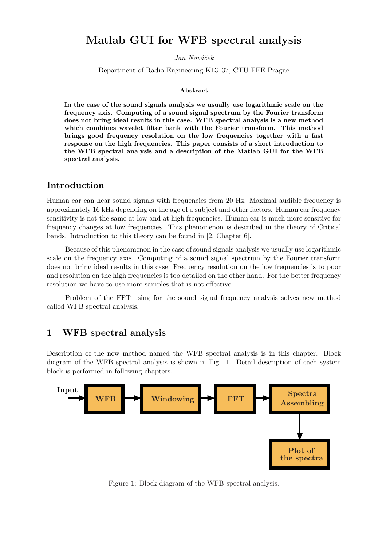# Matlab GUI for WFB spectral analysis

Jan Nováček

Department of Radio Engineering K13137, CTU FEE Prague

#### Abstract

In the case of the sound signals analysis we usually use logarithmic scale on the frequency axis. Computing of a sound signal spectrum by the Fourier transform does not bring ideal results in this case. WFB spectral analysis is a new method which combines wavelet filter bank with the Fourier transform. This method brings good frequency resolution on the low frequencies together with a fast response on the high frequencies. This paper consists of a short introduction to the WFB spectral analysis and a description of the Matlab GUI for the WFB spectral analysis.

# Introduction

Human ear can hear sound signals with frequencies from 20 Hz. Maximal audible frequency is approximately 16 kHz depending on the age of a subject and other factors. Human ear frequency sensitivity is not the same at low and at high frequencies. Human ear is much more sensitive for frequency changes at low frequencies. This phenomenon is described in the theory of Critical bands. Introduction to this theory can be found in [2, Chapter 6].

Because of this phenomenon in the case of sound signals analysis we usually use logarithmic scale on the frequency axis. Computing of a sound signal spectrum by the Fourier transform does not bring ideal results in this case. Frequency resolution on the low frequencies is to poor and resolution on the high frequencies is too detailed on the other hand. For the better frequency resolution we have to use more samples that is not effective.

Problem of the FFT using for the sound signal frequency analysis solves new method called WFB spectral analysis.

# 1 WFB spectral analysis

Description of the new method named the WFB spectral analysis is in this chapter. Block diagram of the WFB spectral analysis is shown in Fig. 1. Detail description of each system block is performed in following chapters.



Figure 1: Block diagram of the WFB spectral analysis.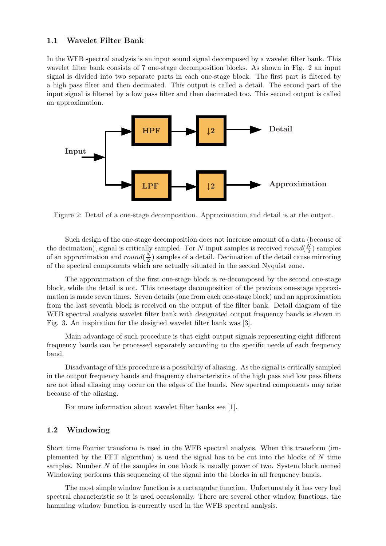### 1.1 Wavelet Filter Bank

In the WFB spectral analysis is an input sound signal decomposed by a wavelet filter bank. This wavelet filter bank consists of 7 one-stage decomposition blocks. As shown in Fig. 2 an input signal is divided into two separate parts in each one-stage block. The first part is filtered by a high pass filter and then decimated. This output is called a detail. The second part of the input signal is filtered by a low pass filter and then decimated too. This second output is called an approximation.



Figure 2: Detail of a one-stage decomposition. Approximation and detail is at the output.

Such design of the one-stage decomposition does not increase amount of a data (because of the decimation), signal is critically sampled. For N input samples is received round( $\frac{N}{2}$ )  $(\frac{N}{2})$  samples of an approximation and round( $\frac{N}{2}$ )  $\frac{N}{2}$ ) samples of a detail. Decimation of the detail cause mirroring of the spectral components which are actually situated in the second Nyquist zone.

The approximation of the first one-stage block is re-decomposed by the second one-stage block, while the detail is not. This one-stage decomposition of the previous one-stage approximation is made seven times. Seven details (one from each one-stage block) and an approximation from the last seventh block is received on the output of the filter bank. Detail diagram of the WFB spectral analysis wavelet filter bank with designated output frequency bands is shown in Fig. 3. An inspiration for the designed wavelet filter bank was [3].

Main advantage of such procedure is that eight output signals representing eight different frequency bands can be processed separately according to the specific needs of each frequency band.

Disadvantage of this procedure is a possibility of aliasing. As the signal is critically sampled in the output frequency bands and frequency characteristics of the high pass and low pass filters are not ideal aliasing may occur on the edges of the bands. New spectral components may arise because of the aliasing.

For more information about wavelet filter banks see [1].

### 1.2 Windowing

Short time Fourier transform is used in the WFB spectral analysis. When this transform (implemented by the FFT algorithm) is used the signal has to be cut into the blocks of  $N$  time samples. Number N of the samples in one block is usually power of two. System block named Windowing performs this sequencing of the signal into the blocks in all frequency bands.

The most simple window function is a rectangular function. Unfortunately it has very bad spectral characteristic so it is used occasionally. There are several other window functions, the hamming window function is currently used in the WFB spectral analysis.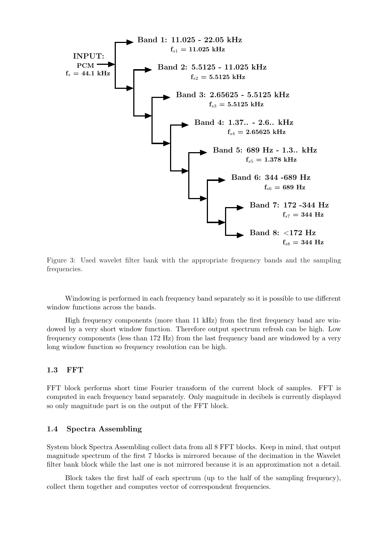

Figure 3: Used wavelet filter bank with the appropriate frequency bands and the sampling frequencies.

Windowing is performed in each frequency band separately so it is possible to use different window functions across the bands.

High frequency components (more than 11 kHz) from the first frequency band are windowed by a very short window function. Therefore output spectrum refresh can be high. Low frequency components (less than 172 Hz) from the last frequency band are windowed by a very long window function so frequency resolution can be high.

#### 1.3 FFT

FFT block performs short time Fourier transform of the current block of samples. FFT is computed in each frequency band separately. Only magnitude in decibels is currently displayed so only magnitude part is on the output of the FFT block.

#### 1.4 Spectra Assembling

System block Spectra Assembling collect data from all 8 FFT blocks. Keep in mind, that output magnitude spectrum of the first 7 blocks is mirrored because of the decimation in the Wavelet filter bank block while the last one is not mirrored because it is an approximation not a detail.

Block takes the first half of each spectrum (up to the half of the sampling frequency), collect them together and computes vector of correspondent frequencies.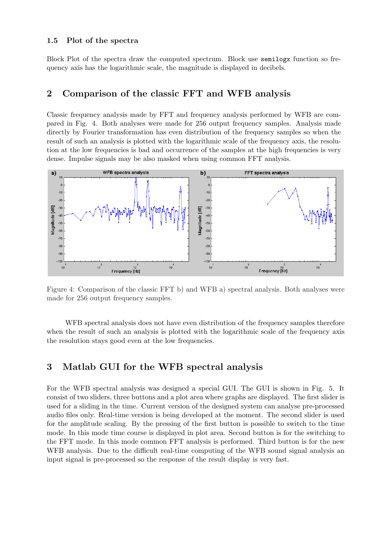### 1.5 Plot of the spectra

Block Plot of the spectra draw the computed spectrum. Block use semilogx function so frequency axis has the logarithmic scale, the magnitude is displayed in decibels.

### 2 Comparison of the classic FFT and WFB analysis

Classic frequency analysis made by FFT and frequency analysis performed by WFB are compared in Fig. 4. Both analyses were made for 256 output frequency samples. Analysis made directly by Fourier transformation has even distribution of the frequency samples so when the result of such an analysis is plotted with the logarithmic scale of the frequency axis, the resolution at the low frequencies is bad and occurrence of the samples at the high frequencies is very dense. Impulse signals may be also masked when using common FFT analysis.



Figure 4: Comparison of the classic FFT b) and WFB a) spectral analysis. Both analyses were made for 256 output frequency samples.

WFB spectral analysis does not have even distribution of the frequency samples therefore when the result of such an analysis is plotted with the logarithmic scale of the frequency axis the resolution stays good even at the low frequencies.

# 3 Matlab GUI for the WFB spectral analysis

For the WFB spectral analysis was designed a special GUI. The GUI is shown in Fig. 5. It consist of two sliders, three buttons and a plot area where graphs are displayed. The first slider is used for a sliding in the time. Current version of the designed system can analyse pre-processed audio files only. Real-time version is being developed at the moment. The second slider is used for the amplitude scaling. By the pressing of the first button is possible to switch to the time mode. In this mode time course is displayed in plot area. Second button is for the switching to the FFT mode. In this mode common FFT analysis is performed. Third button is for the new WFB analysis. Due to the difficult real-time computing of the WFB sound signal analysis an input signal is pre-processed so the response of the result display is very fast.